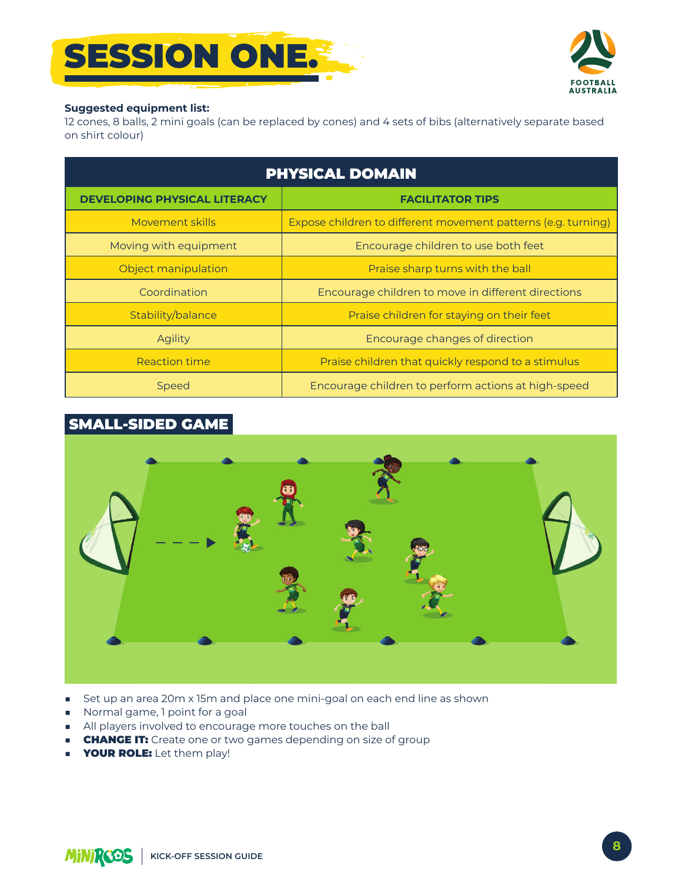



## **Suggested equipment list:**

12 cones, 8 balls, 2 mini goals (can be replaced by cones) and 4 sets of bibs (alternatively separate based on shirt colour)

| <b>PHYSICAL DOMAIN</b>              |                                                               |
|-------------------------------------|---------------------------------------------------------------|
| <b>DEVELOPING PHYSICAL LITERACY</b> | <b>FACILITATOR TIPS</b>                                       |
| Movement skills                     | Expose children to different movement patterns (e.g. turning) |
| Moving with equipment               | Encourage children to use both feet                           |
| Object manipulation                 | Praise sharp turns with the ball                              |
| Coordination                        | Encourage children to move in different directions            |
| Stability/balance                   | Praise children for staying on their feet                     |
| <b>Agility</b>                      | Encourage changes of direction                                |
| <b>Reaction time</b>                | Praise children that quickly respond to a stimulus            |
| <b>Speed</b>                        | Encourage children to perform actions at high-speed           |

## **SMALL-SIDED GAME**



- Set up an area 20m x 15m and place one mini-goal on each end line as shown Ō,
- Normal game, 1 point for a goal
- All players involved to encourage more touches on the ball
- **CHANGE IT:** Create one or two games depending on size of group  $\mathbf{r}$
- **YOUR ROLE:** Let them play!  $\mathbf{r}$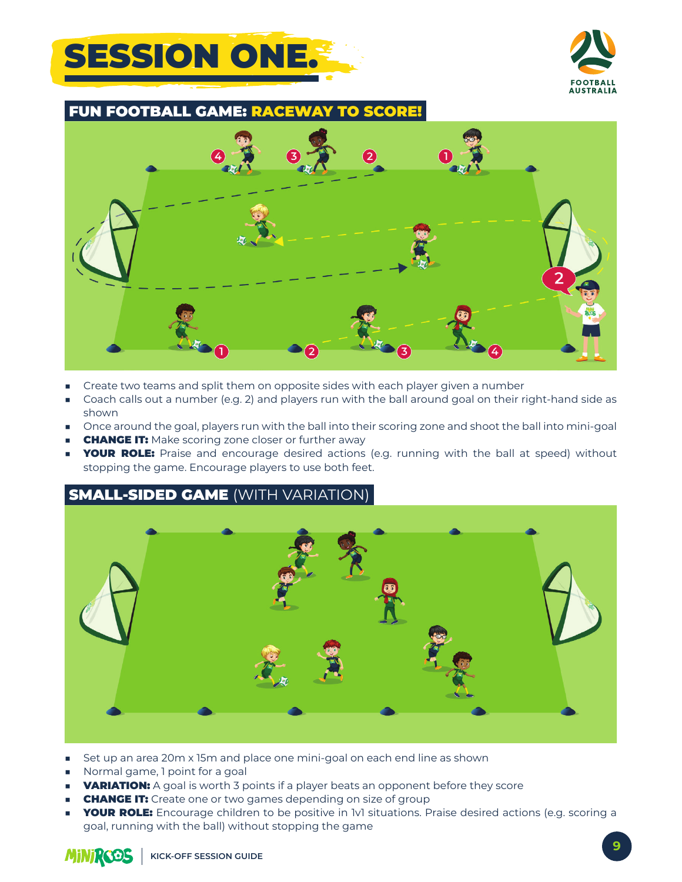



**FUN FOOTBALL GAME: RA**  $C$   $\Box$ **SCORE!** 



- Create two teams and split them on opposite sides with each player given a number ٠
- Coach calls out a number (e.g. 2) and players run with the ball around goal on their right-hand side as  $\mathbf{r}$ shown
- Once around the goal, players run with the ball into their scoring zone and shoot the ball into mini-goal
- **CHANGE IT:** Make scoring zone closer or further away
- **YOUR ROLE:** Praise and encourage desired actions (e.g. running with the ball at speed) without stopping the game. Encourage players to use both feet.

## **SMALL-SIDED GAME (WITH VARIATION)**



- Set up an area 20m x 15m and place one mini-goal on each end line as shown ٠
- Normal game, I point for a goal
- **VARIATION:** A goal is worth 3 points if a player beats an opponent before they score **COL**
- **CHANGE IT:** Create one or two games depending on size of group
- **YOUR ROLE:** Encourage children to be positive in IvI situations. Praise desired actions (e.g. scoring a goal, running with the ball) without stopping the game